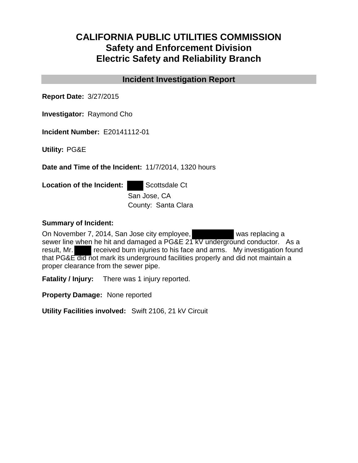# **CALIFORNIA PUBLIC UTILITIES COMMISSION Safety and Enforcement Division Electric Safety and Reliability Branch**

## **Incident Investigation Report**

**Report Date:** 3/27/2015

**Investigator:** Raymond Cho

**Incident Number:** E20141112-01

**Utility:** PG&E

**Date and Time of the Incident:** 11/7/2014, 1320 hours

**Location of the Incident:** Scottsdale Ct

San Jose, CA County: Santa Clara

#### **Summary of Incident:**

On November 7, 2014, San Jose city employee, was replacing a sewer line when he hit and damaged a PG&E 21 kV underground conductor. As a result, Mr. received burn injuries to his face and arms. My investigation found that PG&E did not mark its underground facilities properly and did not maintain a proper clearance from the sewer pipe.

**Fatality / Injury:** There was 1 injury reported.

**Property Damage:** None reported

**Utility Facilities involved:** Swift 2106, 21 kV Circuit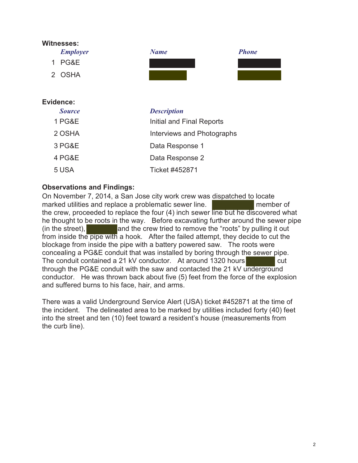

#### Evidence:

| <b>Source</b>     | <b>Description</b>         |
|-------------------|----------------------------|
| <b>1 PG&amp;E</b> | Initial and Final Reports  |
| 2 OSHA            | Interviews and Photographs |
| 3 PG&E            | Data Response 1            |
| 4 PG&E            | Data Response 2            |
| 5 USA             | Ticket #452871             |

### **Observations and Findings:**

On November 7, 2014, a San Jose city work crew was dispatched to locate marked utilities and replace a problematic sewer line. member of the crew, proceeded to replace the four (4) inch sewer line but he discovered what he thought to be roots in the way. Before excavating further around the sewer pipe (in the street), a large and the crew tried to remove the "roots" by pulling it out from inside the pipe with a hook. After the failed attempt, they decide to cut the blockage from inside the pipe with a battery powered saw. The roots were concealing a PG&E conduit that was installed by boring through the sewer pipe. The conduit contained a 21 kV conductor. At around 1320 hours cut through the PG&E conduit with the saw and contacted the 21 kV underground conductor. He was thrown back about five (5) feet from the force of the explosion and suffered burns to his face, hair, and arms.

There was a valid Underground Service Alert (USA) ticket #452871 at the time of the incident. The delineated area to be marked by utilities included forty (40) feet into the street and ten (10) feet toward a resident's house (measurements from the curb line).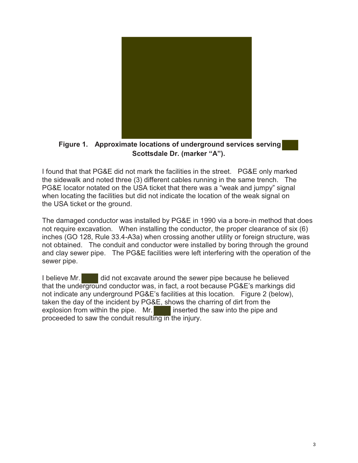

Figure 1. Approximate locations of underground services serving Scottsdale Dr. (marker "A").

I found that that PG&E did not mark the facilities in the street. PG&E only marked the sidewalk and noted three (3) different cables running in the same trench. The PG&E locator notated on the USA ticket that there was a "weak and jumpy" signal when locating the facilities but did not indicate the location of the weak signal on the USA ticket or the ground.

The damaged conductor was installed by PG&E in 1990 via a bore-in method that does not require excavation. When installing the conductor, the proper clearance of six (6) inches (GO 128, Rule 33.4-A3a) when crossing another utility or foreign structure, was not obtained. The conduit and conductor were installed by boring through the ground and clay sewer pipe. The PG&E facilities were left interfering with the operation of the sewer pipe.

did not excavate around the sewer pipe because he believed I believe Mr. that the underground conductor was, in fact, a root because PG&E's markings did not indicate any underground PG&E's facilities at this location. Figure 2 (below), taken the day of the incident by PG&E, shows the charring of dirt from the explosion from within the pipe. Mr. inserted the saw into the pipe and proceeded to saw the conduit resulting in the injury.